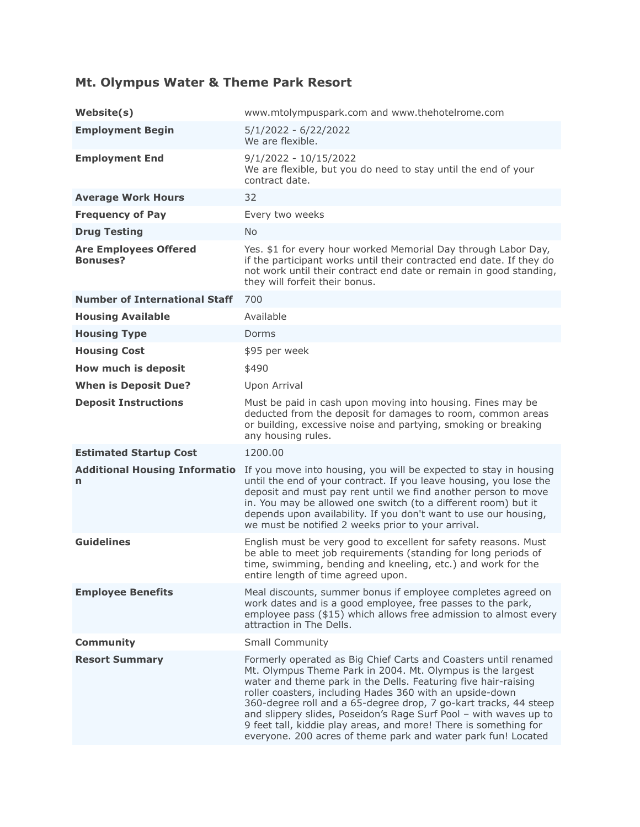## **Mt. Olympus Water & Theme Park Resort**

| Website(s)                                      | www.mtolympuspark.com and www.thehotelrome.com                                                                                                                                                                                                                                                                                                                                                                                                                                                                                            |
|-------------------------------------------------|-------------------------------------------------------------------------------------------------------------------------------------------------------------------------------------------------------------------------------------------------------------------------------------------------------------------------------------------------------------------------------------------------------------------------------------------------------------------------------------------------------------------------------------------|
| <b>Employment Begin</b>                         | $5/1/2022 - 6/22/2022$<br>We are flexible.                                                                                                                                                                                                                                                                                                                                                                                                                                                                                                |
| <b>Employment End</b>                           | $9/1/2022 - 10/15/2022$<br>We are flexible, but you do need to stay until the end of your<br>contract date.                                                                                                                                                                                                                                                                                                                                                                                                                               |
| <b>Average Work Hours</b>                       | 32                                                                                                                                                                                                                                                                                                                                                                                                                                                                                                                                        |
| <b>Frequency of Pay</b>                         | Every two weeks                                                                                                                                                                                                                                                                                                                                                                                                                                                                                                                           |
| <b>Drug Testing</b>                             | <b>No</b>                                                                                                                                                                                                                                                                                                                                                                                                                                                                                                                                 |
| <b>Are Employees Offered</b><br><b>Bonuses?</b> | Yes. \$1 for every hour worked Memorial Day through Labor Day,<br>if the participant works until their contracted end date. If they do<br>not work until their contract end date or remain in good standing,<br>they will forfeit their bonus.                                                                                                                                                                                                                                                                                            |
| <b>Number of International Staff</b>            | 700                                                                                                                                                                                                                                                                                                                                                                                                                                                                                                                                       |
| <b>Housing Available</b>                        | Available                                                                                                                                                                                                                                                                                                                                                                                                                                                                                                                                 |
| <b>Housing Type</b>                             | Dorms                                                                                                                                                                                                                                                                                                                                                                                                                                                                                                                                     |
| <b>Housing Cost</b>                             | \$95 per week                                                                                                                                                                                                                                                                                                                                                                                                                                                                                                                             |
| How much is deposit                             | \$490                                                                                                                                                                                                                                                                                                                                                                                                                                                                                                                                     |
| <b>When is Deposit Due?</b>                     | Upon Arrival                                                                                                                                                                                                                                                                                                                                                                                                                                                                                                                              |
| <b>Deposit Instructions</b>                     | Must be paid in cash upon moving into housing. Fines may be<br>deducted from the deposit for damages to room, common areas<br>or building, excessive noise and partying, smoking or breaking<br>any housing rules.                                                                                                                                                                                                                                                                                                                        |
| <b>Estimated Startup Cost</b>                   | 1200.00                                                                                                                                                                                                                                                                                                                                                                                                                                                                                                                                   |
| <b>Additional Housing Informatio</b><br>n       | If you move into housing, you will be expected to stay in housing<br>until the end of your contract. If you leave housing, you lose the<br>deposit and must pay rent until we find another person to move<br>in. You may be allowed one switch (to a different room) but it<br>depends upon availability. If you don't want to use our housing,<br>we must be notified 2 weeks prior to your arrival.                                                                                                                                     |
| <b>Guidelines</b>                               | English must be very good to excellent for safety reasons. Must<br>be able to meet job requirements (standing for long periods of<br>time, swimming, bending and kneeling, etc.) and work for the<br>entire length of time agreed upon.                                                                                                                                                                                                                                                                                                   |
| <b>Employee Benefits</b>                        | Meal discounts, summer bonus if employee completes agreed on<br>work dates and is a good employee, free passes to the park,<br>employee pass (\$15) which allows free admission to almost every<br>attraction in The Dells.                                                                                                                                                                                                                                                                                                               |
| <b>Community</b>                                | <b>Small Community</b>                                                                                                                                                                                                                                                                                                                                                                                                                                                                                                                    |
| <b>Resort Summary</b>                           | Formerly operated as Big Chief Carts and Coasters until renamed<br>Mt. Olympus Theme Park in 2004. Mt. Olympus is the largest<br>water and theme park in the Dells. Featuring five hair-raising<br>roller coasters, including Hades 360 with an upside-down<br>360-degree roll and a 65-degree drop, 7 go-kart tracks, 44 steep<br>and slippery slides, Poseidon's Rage Surf Pool - with waves up to<br>9 feet tall, kiddie play areas, and more! There is something for<br>everyone. 200 acres of theme park and water park fun! Located |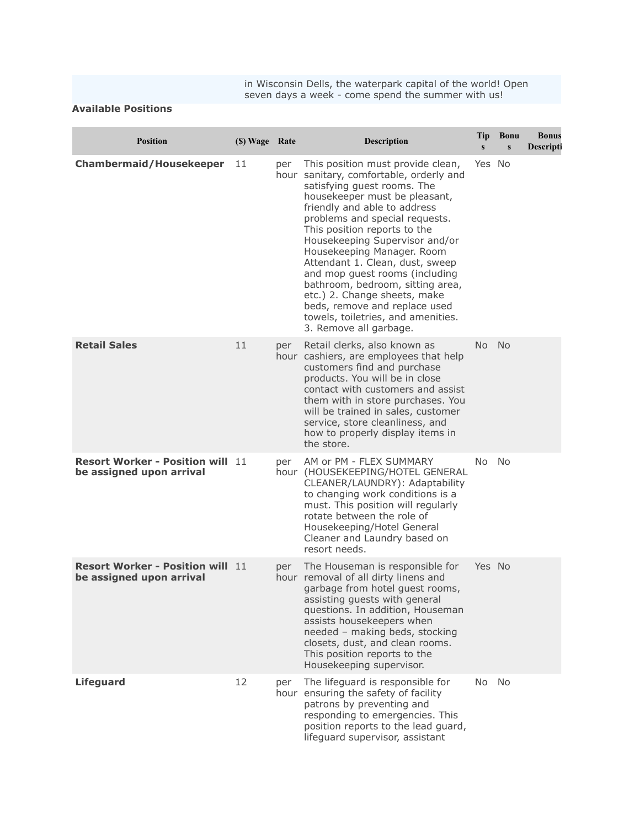in Wisconsin Dells, the waterpark capital of the world! Open seven days a week - come spend the summer with us!

## **Available Positions**

| <b>Position</b>                                                     | (\$) Wage Rate |     | <b>Description</b>                                                                                                                                                                                                                                                                                                                                                                                                                                                                                                                                       | Tip<br>$\mathbf{s}$ | <b>Bonu</b><br>$\mathbf{s}$ | <b>Bonus</b><br>Descripti |
|---------------------------------------------------------------------|----------------|-----|----------------------------------------------------------------------------------------------------------------------------------------------------------------------------------------------------------------------------------------------------------------------------------------------------------------------------------------------------------------------------------------------------------------------------------------------------------------------------------------------------------------------------------------------------------|---------------------|-----------------------------|---------------------------|
| <b>Chambermaid/Housekeeper</b>                                      | 11             | per | This position must provide clean,<br>hour sanitary, comfortable, orderly and<br>satisfying guest rooms. The<br>housekeeper must be pleasant,<br>friendly and able to address<br>problems and special requests.<br>This position reports to the<br>Housekeeping Supervisor and/or<br>Housekeeping Manager. Room<br>Attendant 1. Clean, dust, sweep<br>and mop guest rooms (including<br>bathroom, bedroom, sitting area,<br>etc.) 2. Change sheets, make<br>beds, remove and replace used<br>towels, toiletries, and amenities.<br>3. Remove all garbage. | Yes No              |                             |                           |
| <b>Retail Sales</b>                                                 | 11             | per | Retail clerks, also known as<br>hour cashiers, are employees that help<br>customers find and purchase<br>products. You will be in close<br>contact with customers and assist<br>them with in store purchases. You<br>will be trained in sales, customer<br>service, store cleanliness, and<br>how to properly display items in<br>the store.                                                                                                                                                                                                             | No                  | <b>No</b>                   |                           |
| <b>Resort Worker - Position will</b><br>be assigned upon arrival    | 11             | per | AM or PM - FLEX SUMMARY<br>hour (HOUSEKEEPING/HOTEL GENERAL<br>CLEANER/LAUNDRY): Adaptability<br>to changing work conditions is a<br>must. This position will regularly<br>rotate between the role of<br>Housekeeping/Hotel General<br>Cleaner and Laundry based on<br>resort needs.                                                                                                                                                                                                                                                                     | No                  | No                          |                           |
| <b>Resort Worker - Position will 11</b><br>be assigned upon arrival |                | per | The Houseman is responsible for<br>hour removal of all dirty linens and<br>garbage from hotel guest rooms,<br>assisting guests with general<br>questions. In addition, Houseman<br>assists housekeepers when<br>needed - making beds, stocking<br>closets, dust, and clean rooms.<br>This position reports to the<br>Housekeeping supervisor.                                                                                                                                                                                                            | Yes No              |                             |                           |
| <b>Lifeguard</b>                                                    | 12             | per | The lifeguard is responsible for<br>hour ensuring the safety of facility<br>patrons by preventing and<br>responding to emergencies. This<br>position reports to the lead guard,<br>lifeguard supervisor, assistant                                                                                                                                                                                                                                                                                                                                       | <b>No</b>           | <b>No</b>                   |                           |